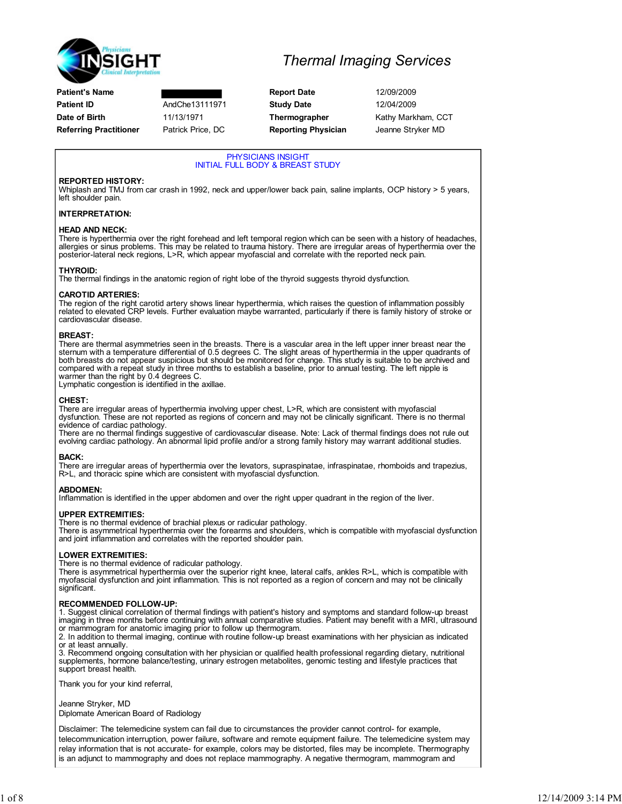

## Thermal Imaging Services

PHYSICIANS INSIGHT INITIAL FULL BODY & BREAST STUDY

### REPORTED HISTORY:

Whiplash and TMJ from car crash in 1992, neck and upper/lower back pain, saline implants, OCP history > 5 years, left shoulder pain.

### INTERPRETATION:

### HEAD AND NECK:

There is hyperthermia over the right forehead and left temporal region which can be seen with a history of headaches, allergies or sinus problems. This may be related to trauma history. There are irregular areas of hyperthermia over the posterior-lateral neck regions, L>R, which appear myofascial and correlate with the reported neck pain.

#### THYROID:

The thermal findings in the anatomic region of right lobe of the thyroid suggests thyroid dysfunction.

#### CAROTID ARTERIES:

The region of the right carotid artery shows linear hyperthermia, which raises the question of inflammation possibly related to elevated CRP levels. Further evaluation maybe warranted, particularly if there is family history of stroke or cardiovascular disease.

#### BREAST:

There are thermal asymmetries seen in the breasts. There is a vascular area in the left upper inner breast near the<br>sternum with a temperature differential of 0.5 degrees C. The slight areas of hyperthermia in the upper qu both breasts do not appear suspicious but should be monitored for change. This study is suitable to be archived and compared with a repeat study in three months to establish a baseline, prior to annual testing. The left nipple is warmer than the right by 0.4 degrees C.

Lymphatic congestion is identified in the axillae.

#### CHEST:

There are irregular areas of hyperthermia involving upper chest, L>R, which are consistent with myofascial dysfunction. These are not reported as regions of concern and may not be clinically significant. There is no thermal evidence of cardiac pathology.

There are no thermal findings suggestive of cardiovascular disease. Note: Lack of thermal findings does not rule out evolving cardiac pathology. An abnormal lipid profile and/or a strong family history may warrant additional studies.

### BACK:

There are irregular areas of hyperthermia over the levators, supraspinatae, infraspinatae, rhomboids and trapezius, R>L, and thoracic spine which are consistent with myofascial dysfunction.

### ABDOMEN:

Inflammation is identified in the upper abdomen and over the right upper quadrant in the region of the liver.

### UPPER EXTREMITIES:

There is no thermal evidence of brachial plexus or radicular pathology. There is asymmetrical hyperthermia over the forearms and shoulders, which is compatible with myofascial dysfunction and joint inflammation and correlates with the reported shoulder pain.

### LOWER EXTREMITIES:

There is no thermal evidence of radicular pathology.

There is asymmetrical hyperthermia over the superior right knee, lateral calfs, ankles R>L, which is compatible with<br>myofascial dysfunction and joint inflammation. This is not reported as a region of concern and may not b significant.

### RECOMMENDED FOLLOW-UP:

1. Suggest clinical correlation of thermal findings with patient's history and symptoms and standard follow-up breast imaging in three months before continuing with annual comparative studies. Patient may benefit with a MRI, ultrasound or mammogram for anatomic imaging prior to follow up thermogram.

2. In addition to thermal imaging, continue with routine follow-up breast examinations with her physician as indicated or at least annually.

3. Recommend ongoing consultation with her physician or qualified health professional regarding dietary, nutritional supplements, hormone balance/testing, urinary estrogen metabolites, genomic testing and lifestyle practices that support breast health.

Thank you for your kind referral,

Jeanne Stryker, MD

Diplomate American Board of Radiology

Disclaimer: The telemedicine system can fail due to circumstances the provider cannot control- for example, telecommunication interruption, power failure, software and remote equipment failure. The telemedicine system may relay information that is not accurate- for example, colors may be distorted, files may be incomplete. Thermography is an adjunct to mammography and does not replace mammography. A negative thermogram, mammogram and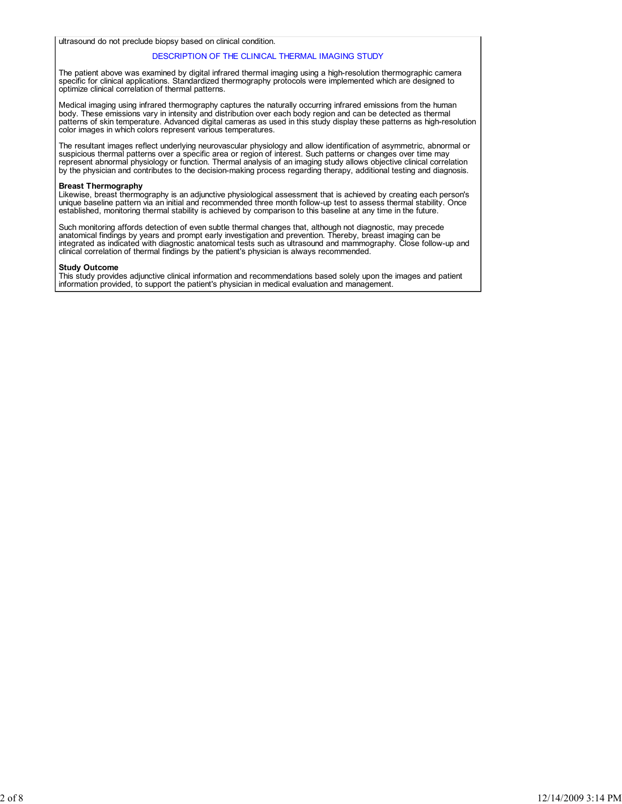ultrasound do not preclude biopsy based on clinical condition.

#### DESCRIPTION OF THE CLINICAL THERMAL IMAGING STUDY

The patient above was examined by digital infrared thermal imaging using a high-resolution thermographic camera specific for clinical applications. Standardized thermography protocols were implemented which are designed to optimize clinical correlation of thermal patterns.

Medical imaging using infrared thermography captures the naturally occurring infrared emissions from the human body. These emissions vary in intensity and distribution over each body region and can be detected as thermal patterns of skin temperature. Advanced digital cameras as used in this study display these patterns as high-resolution color images in which colors represent various temperatures.

The resultant images reflect underlying neurovascular physiology and allow identification of asymmetric, abnormal or<br>suspicious thermal patterns over a specific area or region of interest. Such patterns or changes over tim represent abnormal physiology or function. Thermal analysis of an imaging study allows objective clinical correlation by the physician and contributes to the decision-making process regarding therapy, additional testing and diagnosis.

#### Breast Thermography

Likewise, breast thermography is an adjunctive physiological assessment that is achieved by creating each person's<br>unique baseline pattern via an initial and recommended three month follow-up test to assess thermal stabili established, monitoring thermal stability is achieved by comparison to this baseline at any time in the future.

Such monitoring affords detection of even subtle thermal changes that, although not diagnostic, may precede anatomical findings by years and prompt early investigation and prevention. Thereby, breast imaging can be integrated as indicated with diagnostic anatomical tests such as ultrasound and mammography. Close follow-up and clinical correlation of thermal findings by the patient's physician is always recommended.

#### Study Outcome

This study provides adjunctive clinical information and recommendations based solely upon the images and patient information provided, to support the patient's physician in medical evaluation and management.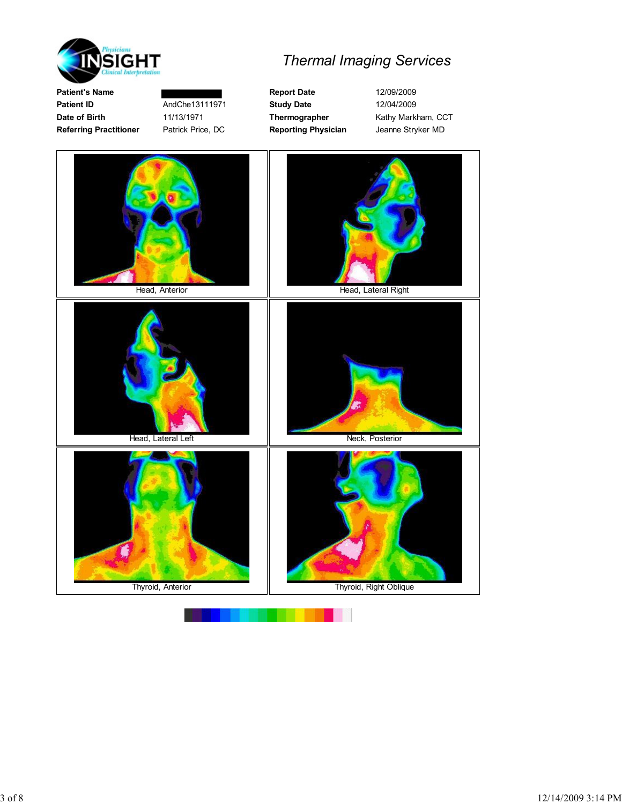

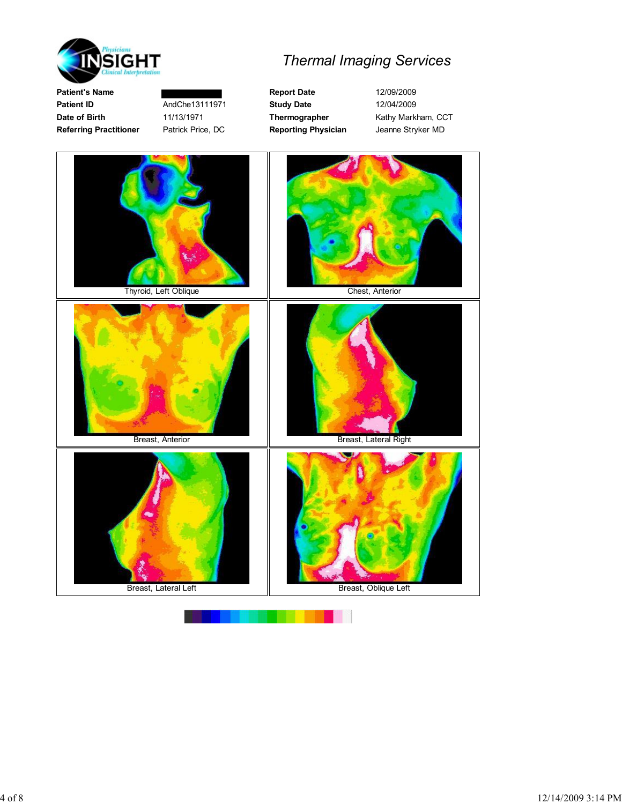

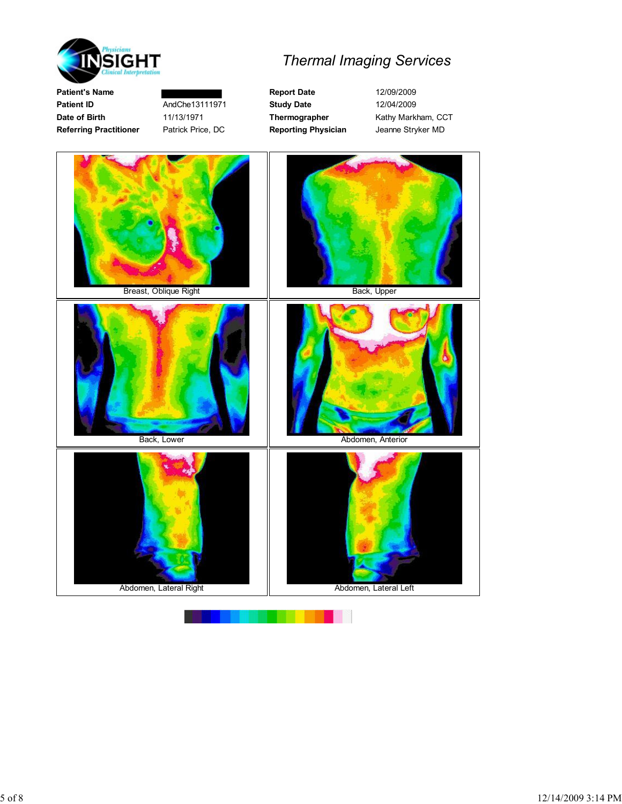

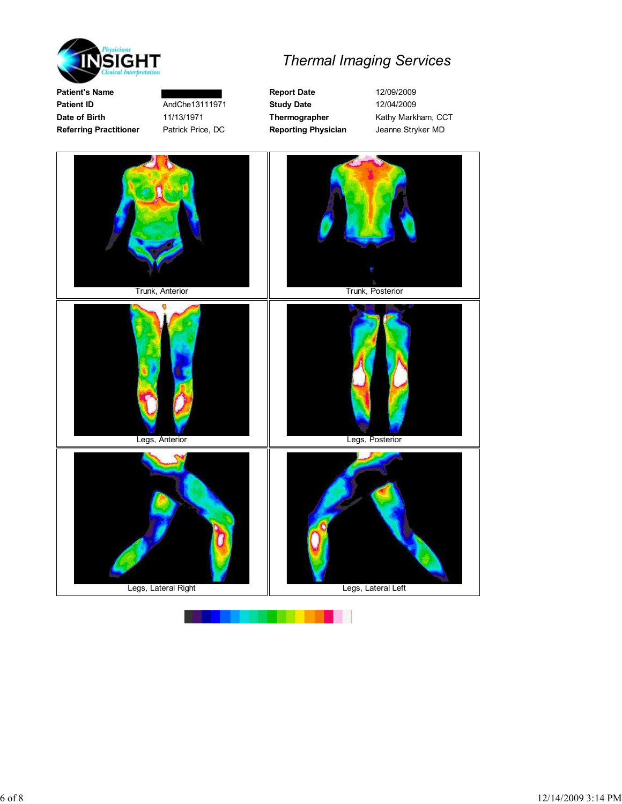

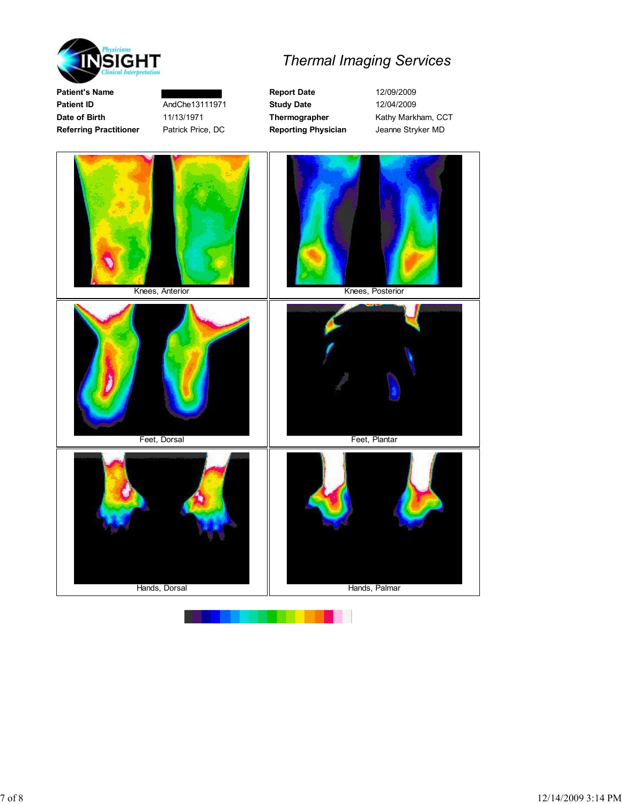